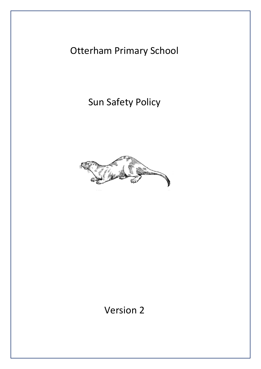# Otterham Primary School

Sun Safety Policy



Version 2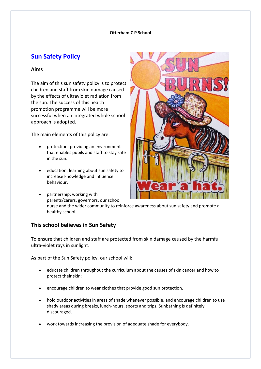#### **Otterham C P School**

# **Sun Safety Policy**

### **Aims**

The aim of this sun safety policy is to protect children and staff from skin damage caused by the effects of ultraviolet radiation from the sun. The success of this health promotion programme will be more successful when an integrated whole school approach is adopted.

The main elements of this policy are:

- protection: providing an environment that enables pupils and staff to stay safe in the sun.
- education: learning about sun safety to increase knowledge and influence behaviour.
- 

 partnership: working with parents/carers, governors, our school nurse and the wider community to reinforce awareness about sun safety and promote a healthy school.

## **This school believes in Sun Safety**

To ensure that children and staff are protected from skin damage caused by the harmful ultra-violet rays in sunlight.

As part of the Sun Safety policy, our school will:

- educate children throughout the curriculum about the causes of skin cancer and how to protect their skin;
- encourage children to wear clothes that provide good sun protection.
- hold outdoor activities in areas of shade whenever possible, and encourage children to use shady areas during breaks, lunch-hours, sports and trips. Sunbathing is definitely discouraged.
- work towards increasing the provision of adequate shade for everybody.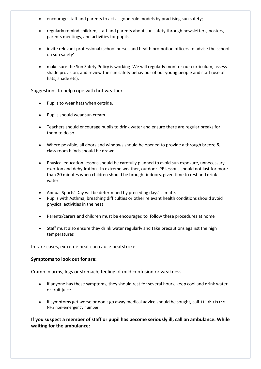- encourage staff and parents to act as good role models by practising sun safety;
- regularly remind children, staff and parents about sun safety through newsletters, posters, parents meetings, and activities for pupils.
- invite relevant professional (school nurses and health promotion officers to advise the school on sun safety'
- make sure the Sun Safety Policy is working. We will regularly monitor our curriculum, assess shade provision, and review the sun safety behaviour of our young people and staff (use of hats, shade etc).

Suggestions to help cope with hot weather

- Pupils to wear hats when outside.
- Pupils should wear sun cream.
- Teachers should encourage pupils to drink water and ensure there are regular breaks for them to do so.
- Where possible, all doors and windows should be opened to provide a through breeze & class room blinds should be drawn.
- Physical education lessons should be carefully planned to avoid sun exposure, unnecessary exertion and dehydration. In extreme weather, outdoor PE lessons should not last for more than 20 minutes when children should be brought indoors, given time to rest and drink water.
- Annual Sports' Day will be determined by preceding days' climate.
- Pupils with Asthma, breathing difficulties or other relevant health conditions should avoid physical activities in the heat
- Parents/carers and children must be encouraged to follow these procedures at home
- Staff must also ensure they drink water regularly and take precautions against the high temperatures

In rare cases, extreme heat can cause heatstroke

#### **Symptoms to look out for are:**

Cramp in arms, legs or stomach, feeling of mild confusion or weakness.

- If anyone has these symptoms, they should rest for several hours, keep cool and drink water or fruit juice.
- If symptoms get worse or don't go away medical advice should be sought, call 111 this is the NHS non-emergency number

**If you suspect a member of staff or pupil has become seriously ill, call an ambulance. While waiting for the ambulance:**